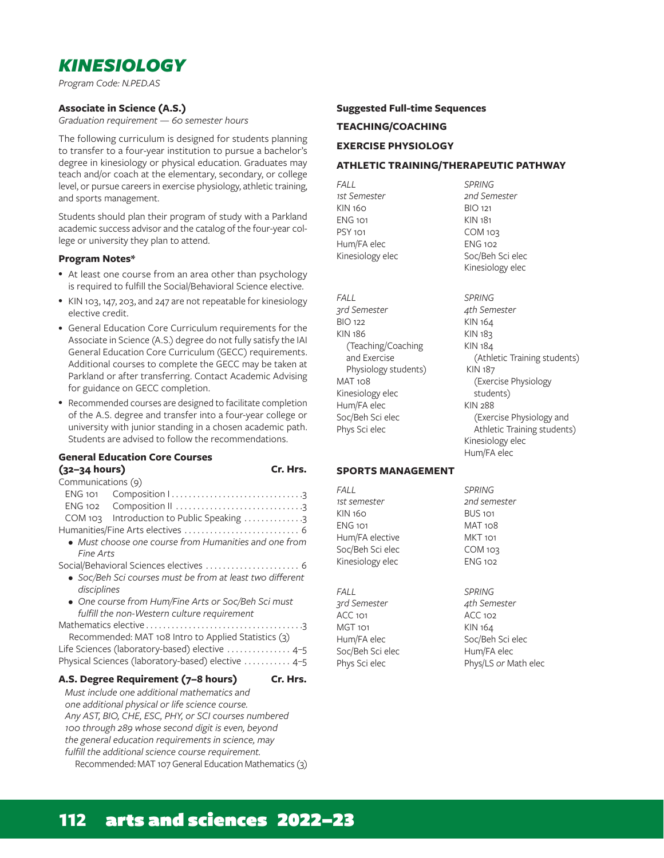

*Program Code: N.PED.AS*

## **Associate in Science (A.S.)**

*Graduation requirement — 60 semester hours*

The following curriculum is designed for students planning to transfer to a four-year institution to pursue a bachelor's degree in kinesiology or physical education. Graduates may teach and/or coach at the elementary, secondary, or college level, or pursue careers in exercise physiology, athletic training, and sports management. 

Students should plan their program of study with a Parkland academic success advisor and the catalog of the four-year college or university they plan to attend.

### **Program Notes\***

- At least one course from an area other than psychology is required to fulfill the Social/Behavioral Science elective.
- KIN 103, 147, 203, and 247 are not repeatable for kinesiology elective credit.
- General Education Core Curriculum requirements for the Associate in Science (A.S.) degree do not fully satisfy the IAI General Education Core Curriculum (GECC) requirements. Additional courses to complete the GECC may be taken at Parkland or after transferring. Contact Academic Advising for guidance on GECC completion.
- Recommended courses are designed to facilitate completion of the A.S. degree and transfer into a four-year college or university with junior standing in a chosen academic path. Students are advised to follow the recommendations.

# **General Education Core Courses**

| $(32 - 34$ hours)  | Cr. Hrs.                                                  |  |
|--------------------|-----------------------------------------------------------|--|
| Communications (9) |                                                           |  |
|                    |                                                           |  |
|                    |                                                           |  |
|                    | COM 103 Introduction to Public Speaking 3                 |  |
|                    | Humanities/Fine Arts electives  6                         |  |
|                    | • Must choose one course from Humanities and one from     |  |
| Fine Arts          |                                                           |  |
|                    | Social/Behavioral Sciences electives  6                   |  |
|                    | · Soc/Beh Sci courses must be from at least two different |  |
| disciplines        |                                                           |  |
|                    | • One course from Hum/Fine Arts or Soc/Beh Sci must       |  |
|                    | fulfill the non-Western culture requirement               |  |
|                    |                                                           |  |
|                    | Recommended: MAT 108 Intro to Applied Statistics (3)      |  |
|                    | Life Sciences (laboratory-based) elective  4-5            |  |

| Physical Sciences (laboratory-based) elective  4-5 |  |
|----------------------------------------------------|--|
|                                                    |  |

**A.S. Degree Requirement (7–8 hours) Cr. Hrs.** *Must include one additional mathematics and one additional physical or life science course. Any AST, BIO, CHE, ESC, PHY, or SCI courses numbered 100 through 289 whose second digit is even, beyond the general education requirements in science, may fulfill the additional science course requirement.*

Recommended: MAT 107 General Education Mathematics (3)

# **Suggested Full-time Sequences**

**TEACHING/COACHING**

#### **EXERCISE PHYSIOLOGY**

#### **ATHLETIC TRAINING/THERAPEUTIC PATHWAY**

*SPRING 2nd Semester* BIO 121 KIN 181 COM 103 ENG 102 Soc/Beh Sci elec

*FALL 1st Semester* KIN 160 ENG 101 PSY 101 Hum/FA elec Kinesiology elec

*FALL 3rd Semester* BIO 122 KIN 186 (Teaching/Coaching and Exercise Physiology students) MAT 108 Kinesiology elec Hum/FA elec Soc/Beh Sci elec Phys Sci elec

Kinesiology elec *SPRING 4th Semester* KIN 164 KIN 183 KIN 184 (Athletic Training students) KIN 187 (Exercise Physiology students) KIN 288 (Exercise Physiology and Athletic Training students) Kinesiology elec Hum/FA elec

#### **SPORTS MANAGEMENT**

*FALL 1st semester* KIN 160 ENG 101 Hum/FA elective Soc/Beh Sci elec Kinesiology elec

*FALL 3rd Semester* ACC 101 MGT 101 Hum/FA elec Soc/Beh Sci elec Phys Sci elec

*SPRING 2nd semester* BUS 101 MAT 108 MKT 101 COM 103 ENG 102

*SPRING 4th Semester* ACC 102 KIN 164 Soc/Beh Sci elec Hum/FA elec Phys/LS *or* Math elec